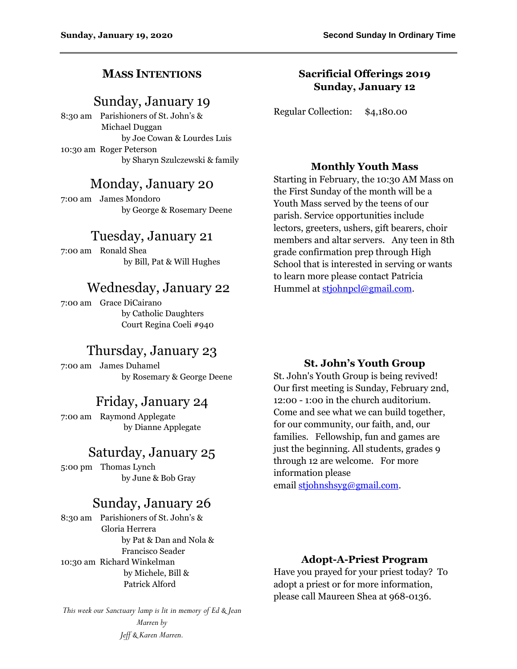### **MASS INTENTIONS**

## Sunday, January 19

8:30 am Parishioners of St. John's & Michael Duggan by Joe Cowan & Lourdes Luis 10:30 am Roger Peterson by Sharyn Szulczewski & family

## Monday, January 20

7:00 am James Mondoro by George & Rosemary Deene

## Tuesday, January 21

7:00 am Ronald Shea by Bill, Pat & Will Hughes

## Wednesday, January 22

7:00 am Grace DiCairano by Catholic Daughters Court Regina Coeli #940

# Thursday, January 23

7:00 am James Duhamel by Rosemary & George Deene

# Friday, January 24

7:00 am Raymond Applegate by Dianne Applegate

## Saturday, January 25

5:00 pm Thomas Lynch by June & Bob Gray

## Sunday, January 26

8:30 am Parishioners of St. John's & Gloria Herrera by Pat & Dan and Nola & Francisco Seader 10:30 am Richard Winkelman by Michele, Bill & Patrick Alford

*This week our Sanctuary lamp is lit in memory of Ed & Jean Marren by Jeff & Karen Marren.*

### **Sacrificial Offerings 2019 Sunday, January 12**

Regular Collection: \$4,180.00

#### **Monthly Youth Mass**

Starting in February, the 10:30 AM Mass on the First Sunday of the month will be a Youth Mass served by the teens of our parish. Service opportunities include lectors, greeters, ushers, gift bearers, choir members and altar servers. Any teen in 8th grade confirmation prep through High School that is interested in serving or wants to learn more please contact Patricia Hummel at [stjohnpcl@gmail.com.](mailto:stjohnpcl@gmail.com)

#### **St. John's Youth Group**

St. John's Youth Group is being revived! Our first meeting is Sunday, February 2nd, 12:00 - 1:00 in the church auditorium. Come and see what we can build together, for our community, our faith, and, our families. Fellowship, fun and games are just the beginning. All students, grades 9 through 12 are welcome. For more information please email [stjohnshsyg@gmail.com.](mailto:stjohnshsyg@gmail.com)

#### **Adopt-A-Priest Program**

Have you prayed for your priest today? To adopt a priest or for more information, please call Maureen Shea at 968-0136.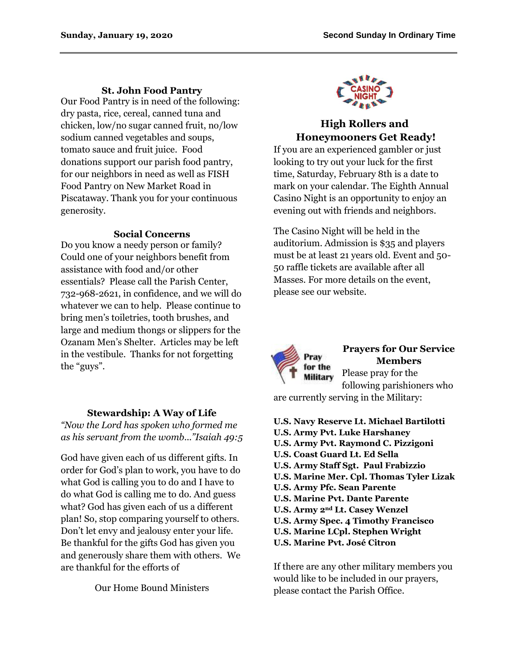#### **St. John Food Pantry**

Our Food Pantry is in need of the following: dry pasta, rice, cereal, canned tuna and chicken, low/no sugar canned fruit, no/low sodium canned vegetables and soups, tomato sauce and fruit juice. Food donations support our parish food pantry, for our neighbors in need as well as FISH Food Pantry on New Market Road in Piscataway. Thank you for your continuous generosity.

#### **Social Concerns**

Do you know a needy person or family? Could one of your neighbors benefit from assistance with food and/or other essentials? Please call the Parish Center, 732-968-2621, in confidence, and we will do whatever we can to help. Please continue to bring men's toiletries, tooth brushes, and large and medium thongs or slippers for the Ozanam Men's Shelter. Articles may be left in the vestibule. Thanks for not forgetting the "guys".

### **Stewardship: A Way of Life**

*"Now the Lord has spoken who formed me as his servant from the womb..."Isaiah 49:5*

God have given each of us different gifts. In order for God's plan to work, you have to do what God is calling you to do and I have to do what God is calling me to do. And guess what? God has given each of us a different plan! So, stop comparing yourself to others. Don't let envy and jealousy enter your life. Be thankful for the gifts God has given you and generously share them with others. We are thankful for the efforts of

Our Home Bound Ministers



## **High Rollers and Honeymooners Get Ready!**

If you are an experienced gambler or just looking to try out your luck for the first time, Saturday, February 8th is a date to mark on your calendar. The Eighth Annual Casino Night is an opportunity to enjoy an evening out with friends and neighbors.

The Casino Night will be held in the auditorium. Admission is \$35 and players must be at least 21 years old. Event and 50- 50 raffle tickets are available after all Masses. For more details on the event, please see our website.



### **Prayers for Our Service Members**

Please pray for the following parishioners who

are currently serving in the Military:

- **U.S. Navy Reserve Lt. Michael Bartilotti U.S. Army Pvt. Luke Harshaney U.S. Army Pvt. Raymond C. Pizzigoni U.S. Coast Guard Lt. Ed Sella U.S. Army Staff Sgt. Paul Frabizzio U.S. Marine Mer. Cpl. Thomas Tyler Lizak U.S. Army Pfc. Sean Parente U.S. Marine Pvt. Dante Parente U.S. Army 2nd Lt. Casey Wenzel U.S. Army Spec. 4 Timothy Francisco U.S. Marine LCpl. Stephen Wright**
- **U.S. Marine Pvt. José Citron**

If there are any other military members you would like to be included in our prayers, please contact the Parish Office.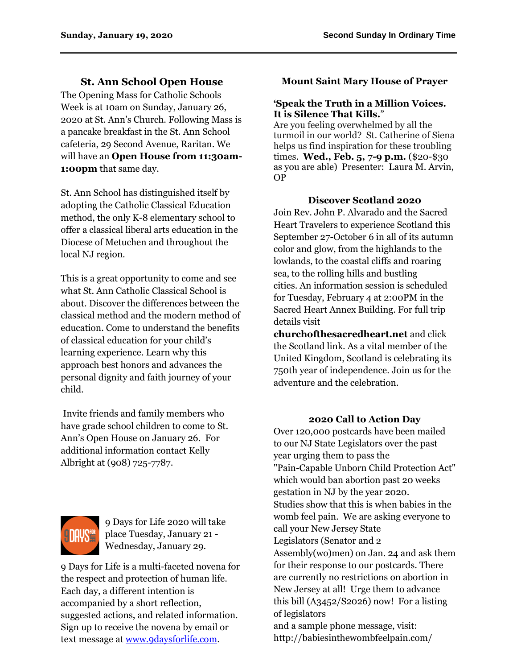## **St. Ann School Open House**

The Opening Mass for Catholic Schools Week is at 10am on Sunday, January 26, 2020 at St. Ann's Church. Following Mass is a pancake breakfast in the St. Ann School cafeteria, 29 Second Avenue, Raritan. We will have an **Open House from 11:30am-1:00pm** that same day.

St. Ann School has distinguished itself by adopting the Catholic Classical Education method, the only K-8 elementary school to offer a classical liberal arts education in the Diocese of Metuchen and throughout the local NJ region.

This is a great opportunity to come and see what St. Ann Catholic Classical School is about. Discover the differences between the classical method and the modern method of education. Come to understand the benefits of classical education for your child's learning experience. Learn why this approach best honors and advances the personal dignity and faith journey of your child.

Invite friends and family members who have grade school children to come to St. Ann's Open House on January 26. For additional information contact Kelly Albright at (908) 725-7787.



9 Days for Life 2020 will take place Tuesday, January 21 - Wednesday, January 29.

9 Days for Life is a multi-faceted novena for the respect and protection of human life. Each day, a different intention is accompanied by a short reflection, suggested actions, and related information. Sign up to receive the novena by email or text message a[t www.9daysforlife.com.](http://www.9daysforlife.com/)

### **Mount Saint Mary House of Prayer**

#### **'Speak the Truth in a Million Voices. It is Silence That Kills.**"

Are you feeling overwhelmed by all the turmoil in our world? St. Catherine of Siena helps us find inspiration for these troubling times. **Wed., Feb. 5, 7-9 p.m.** (\$20-\$30 as you are able) Presenter: Laura M. Arvin, OP

### **Discover Scotland 2020**

Join Rev. John P. Alvarado and the Sacred Heart Travelers to experience Scotland this September 27-October 6 in all of its autumn color and glow, from the highlands to the lowlands, to the coastal cliffs and roaring sea, to the rolling hills and bustling cities. An information session is scheduled for Tuesday, February 4 at 2:00PM in the Sacred Heart Annex Building. For full trip details visit

**churchofthesacredheart.net** and click the Scotland link. As a vital member of the United Kingdom, Scotland is celebrating its 750th year of independence. Join us for the adventure and the celebration.

#### **2020 Call to Action Day**

Over 120,000 postcards have been mailed to our NJ State Legislators over the past year urging them to pass the "Pain-Capable Unborn Child Protection Act" which would ban abortion past 20 weeks gestation in NJ by the year 2020. Studies show that this is when babies in the womb feel pain. We are asking everyone to call your New Jersey State Legislators (Senator and 2 Assembly(wo)men) on Jan. 24 and ask them for their response to our postcards. There are currently no restrictions on abortion in New Jersey at all! Urge them to advance this bill  $(A3452/S2026)$  now! For a listing of legislators and a sample phone message, visit: http://babiesinthewombfeelpain.com/